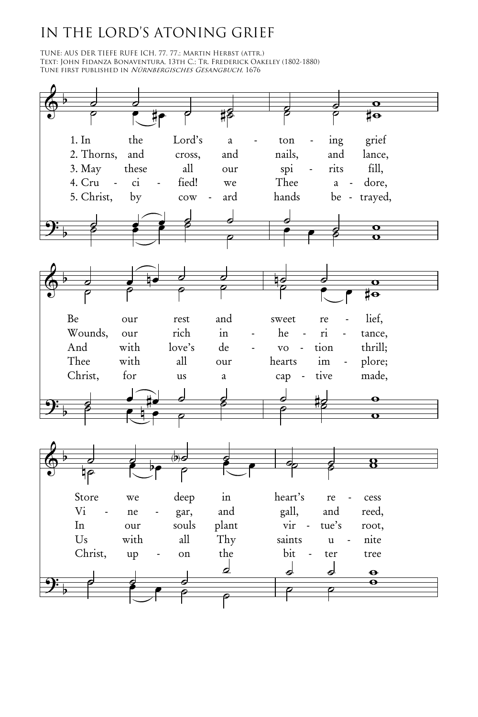## IN THE LORD'S ATONING GRIEF

TUNE: AUS DER TIEFE RUFE ICH, 77. 77.; Martin Herbst (attr.) Text: John Fidanza Bonaventura, 13th C.; Tr. Frederick Oakeley (1802-1880) Tune first published in Nürnbergisches Gesangbuch, 1676